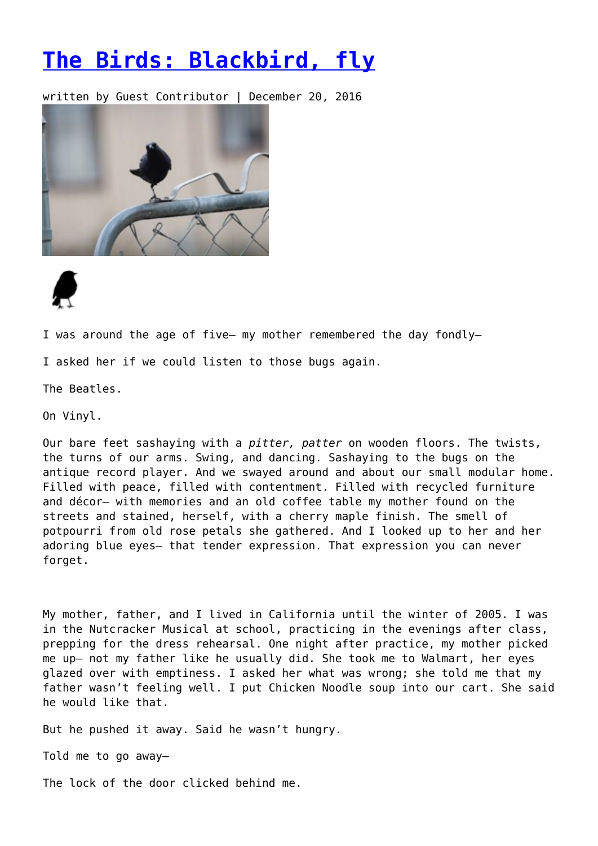## **[The Birds: Blackbird, fly](https://entropymag.org/the-birds-blackbird-fly/)**

written by Guest Contributor | December 20, 2016





I was around the age of five— my mother remembered the day fondly—

I asked her if we could listen to those bugs again.

The Beatles.

On Vinyl.

Our bare feet sashaying with a *pitter, patter* on wooden floors. The twists, the turns of our arms. Swing, and dancing. Sashaying to the bugs on the antique record player. And we swayed around and about our small modular home. Filled with peace, filled with contentment. Filled with recycled furniture and décor— with memories and an old coffee table my mother found on the streets and stained, herself, with a cherry maple finish. The smell of potpourri from old rose petals she gathered. And I looked up to her and her adoring blue eyes— that tender expression. That expression you can never forget.

My mother, father, and I lived in California until the winter of 2005. I was in the Nutcracker Musical at school, practicing in the evenings after class, prepping for the dress rehearsal. One night after practice, my mother picked me up— not my father like he usually did. She took me to Walmart, her eyes glazed over with emptiness. I asked her what was wrong; she told me that my father wasn't feeling well. I put Chicken Noodle soup into our cart. She said he would like that.

But he pushed it away. Said he wasn't hungry.

Told me to go away—

The lock of the door clicked behind me.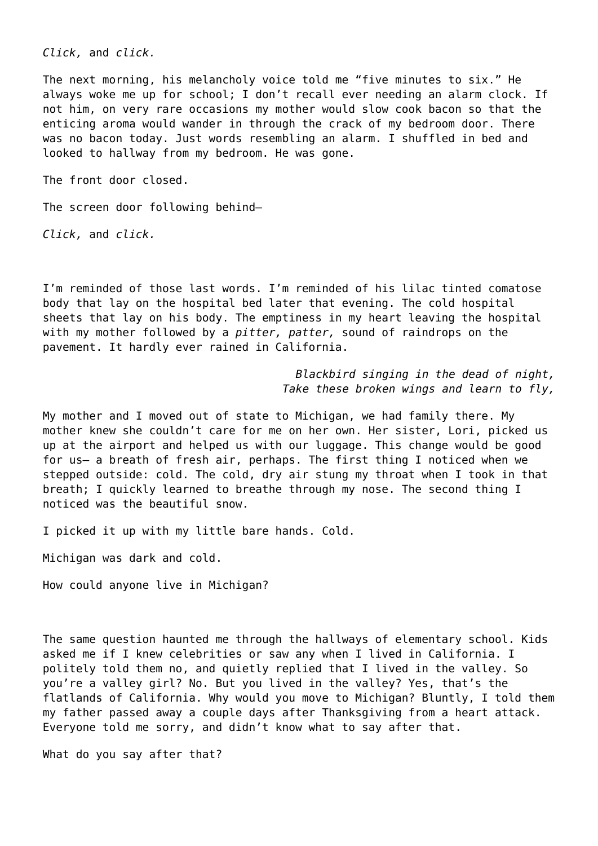*Click,* and *click.*

The next morning, his melancholy voice told me "five minutes to six." He always woke me up for school; I don't recall ever needing an alarm clock. If not him, on very rare occasions my mother would slow cook bacon so that the enticing aroma would wander in through the crack of my bedroom door. There was no bacon today. Just words resembling an alarm. I shuffled in bed and looked to hallway from my bedroom. He was gone.

The front door closed.

The screen door following behind—

*Click,* and *click.*

I'm reminded of those last words. I'm reminded of his lilac tinted comatose body that lay on the hospital bed later that evening. The cold hospital sheets that lay on his body. The emptiness in my heart leaving the hospital with my mother followed by a *pitter, patter,* sound of raindrops on the pavement. It hardly ever rained in California.

> *Blackbird singing in the dead of night, Take these broken wings and learn to fly,*

My mother and I moved out of state to Michigan, we had family there. My mother knew she couldn't care for me on her own. Her sister, Lori, picked us up at the airport and helped us with our luggage. This change would be good for us— a breath of fresh air, perhaps. The first thing I noticed when we stepped outside: cold. The cold, dry air stung my throat when I took in that breath; I quickly learned to breathe through my nose. The second thing I noticed was the beautiful snow.

I picked it up with my little bare hands. Cold.

Michigan was dark and cold.

How could anyone live in Michigan?

The same question haunted me through the hallways of elementary school. Kids asked me if I knew celebrities or saw any when I lived in California. I politely told them no, and quietly replied that I lived in the valley. So you're a valley girl? No. But you lived in the valley? Yes, that's the flatlands of California. Why would you move to Michigan? Bluntly, I told them my father passed away a couple days after Thanksgiving from a heart attack. Everyone told me sorry, and didn't know what to say after that.

What do you say after that?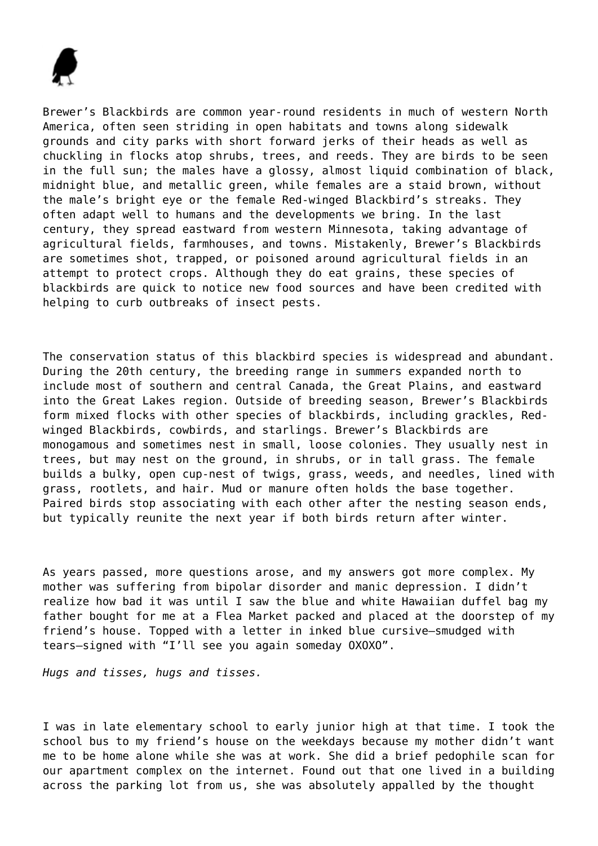

Brewer's Blackbirds are common year-round residents in much of western North America, often seen striding in open habitats and towns along sidewalk grounds and city parks with short forward jerks of their heads as well as chuckling in flocks atop shrubs, trees, and reeds. They are birds to be seen in the full sun; the males have a glossy, almost liquid combination of black, midnight blue, and metallic green, while females are a staid brown, without the male's bright eye or the female Red-winged Blackbird's streaks. They often adapt well to humans and the developments we bring. In the last century, they spread eastward from western Minnesota, taking advantage of agricultural fields, farmhouses, and towns. Mistakenly, Brewer's Blackbirds are sometimes shot, trapped, or poisoned around agricultural fields in an attempt to protect crops. Although they do eat grains, these species of blackbirds are quick to notice new food sources and have been credited with helping to curb outbreaks of insect pests.

The conservation status of this blackbird species is widespread and abundant. During the 20th century, the breeding range in summers expanded north to include most of southern and central Canada, the Great Plains, and eastward into the Great Lakes region. Outside of breeding season, Brewer's Blackbirds form mixed flocks with other species of blackbirds, including grackles, Redwinged Blackbirds, cowbirds, and starlings. Brewer's Blackbirds are monogamous and sometimes nest in small, loose colonies. They usually nest in trees, but may nest on the ground, in shrubs, or in tall grass. The female builds a bulky, open cup-nest of twigs, grass, weeds, and needles, lined with grass, rootlets, and hair. Mud or manure often holds the base together. Paired birds stop associating with each other after the nesting season ends, but typically reunite the next year if both birds return after winter.

As years passed, more questions arose, and my answers got more complex. My mother was suffering from bipolar disorder and manic depression. I didn't realize how bad it was until I saw the blue and white Hawaiian duffel bag my father bought for me at a Flea Market packed and placed at the doorstep of my friend's house. Topped with a letter in inked blue cursive—smudged with tears—signed with "I'll see you again someday OXOXO".

*Hugs and tisses, hugs and tisses.*

I was in late elementary school to early junior high at that time. I took the school bus to my friend's house on the weekdays because my mother didn't want me to be home alone while she was at work. She did a brief pedophile scan for our apartment complex on the internet. Found out that one lived in a building across the parking lot from us, she was absolutely appalled by the thought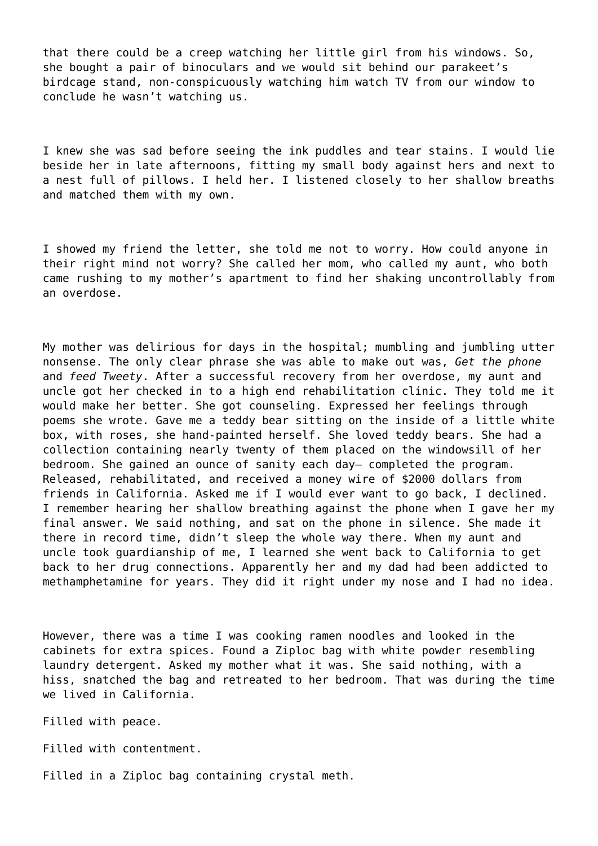that there could be a creep watching her little girl from his windows. So, she bought a pair of binoculars and we would sit behind our parakeet's birdcage stand, non-conspicuously watching him watch TV from our window to conclude he wasn't watching us.

I knew she was sad before seeing the ink puddles and tear stains. I would lie beside her in late afternoons, fitting my small body against hers and next to a nest full of pillows. I held her. I listened closely to her shallow breaths and matched them with my own.

I showed my friend the letter, she told me not to worry. How could anyone in their right mind not worry? She called her mom, who called my aunt, who both came rushing to my mother's apartment to find her shaking uncontrollably from an overdose.

My mother was delirious for days in the hospital; mumbling and jumbling utter nonsense. The only clear phrase she was able to make out was, *Get the phone* and *feed Tweety*. After a successful recovery from her overdose, my aunt and uncle got her checked in to a high end rehabilitation clinic. They told me it would make her better. She got counseling. Expressed her feelings through poems she wrote. Gave me a teddy bear sitting on the inside of a little white box, with roses, she hand-painted herself. She loved teddy bears. She had a collection containing nearly twenty of them placed on the windowsill of her bedroom. She gained an ounce of sanity each day— completed the program. Released, rehabilitated, and received a money wire of \$2000 dollars from friends in California. Asked me if I would ever want to go back, I declined. I remember hearing her shallow breathing against the phone when I gave her my final answer. We said nothing, and sat on the phone in silence. She made it there in record time, didn't sleep the whole way there. When my aunt and uncle took guardianship of me, I learned she went back to California to get back to her drug connections. Apparently her and my dad had been addicted to methamphetamine for years. They did it right under my nose and I had no idea.

However, there was a time I was cooking ramen noodles and looked in the cabinets for extra spices. Found a Ziploc bag with white powder resembling laundry detergent. Asked my mother what it was. She said nothing, with a hiss, snatched the bag and retreated to her bedroom. That was during the time we lived in California.

Filled with peace.

Filled with contentment.

Filled in a Ziploc bag containing crystal meth.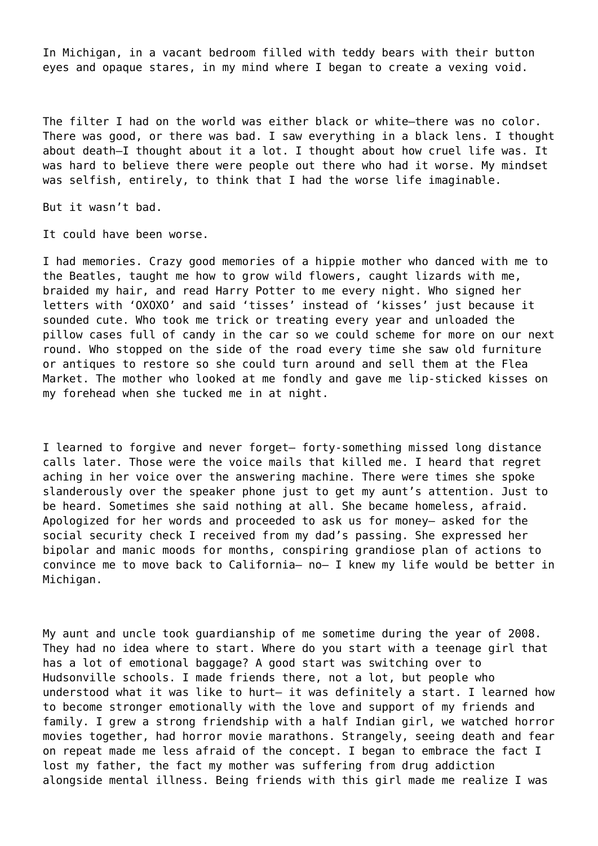In Michigan, in a vacant bedroom filled with teddy bears with their button eyes and opaque stares, in my mind where I began to create a vexing void.

The filter I had on the world was either black or white—there was no color. There was good, or there was bad. I saw everything in a black lens. I thought about death—I thought about it a lot. I thought about how cruel life was. It was hard to believe there were people out there who had it worse. My mindset was selfish, entirely, to think that I had the worse life imaginable.

But it wasn't bad.

It could have been worse.

I had memories. Crazy good memories of a hippie mother who danced with me to the Beatles, taught me how to grow wild flowers, caught lizards with me, braided my hair, and read Harry Potter to me every night. Who signed her letters with 'OXOXO' and said 'tisses' instead of 'kisses' just because it sounded cute. Who took me trick or treating every year and unloaded the pillow cases full of candy in the car so we could scheme for more on our next round. Who stopped on the side of the road every time she saw old furniture or antiques to restore so she could turn around and sell them at the Flea Market. The mother who looked at me fondly and gave me lip-sticked kisses on my forehead when she tucked me in at night.

I learned to forgive and never forget— forty-something missed long distance calls later. Those were the voice mails that killed me. I heard that regret aching in her voice over the answering machine. There were times she spoke slanderously over the speaker phone just to get my aunt's attention. Just to be heard. Sometimes she said nothing at all. She became homeless, afraid. Apologized for her words and proceeded to ask us for money— asked for the social security check I received from my dad's passing. She expressed her bipolar and manic moods for months, conspiring grandiose plan of actions to convince me to move back to California— no— I knew my life would be better in Michigan.

My aunt and uncle took guardianship of me sometime during the year of 2008. They had no idea where to start. Where do you start with a teenage girl that has a lot of emotional baggage? A good start was switching over to Hudsonville schools. I made friends there, not a lot, but people who understood what it was like to hurt— it was definitely a start. I learned how to become stronger emotionally with the love and support of my friends and family. I grew a strong friendship with a half Indian girl, we watched horror movies together, had horror movie marathons. Strangely, seeing death and fear on repeat made me less afraid of the concept. I began to embrace the fact I lost my father, the fact my mother was suffering from drug addiction alongside mental illness. Being friends with this girl made me realize I was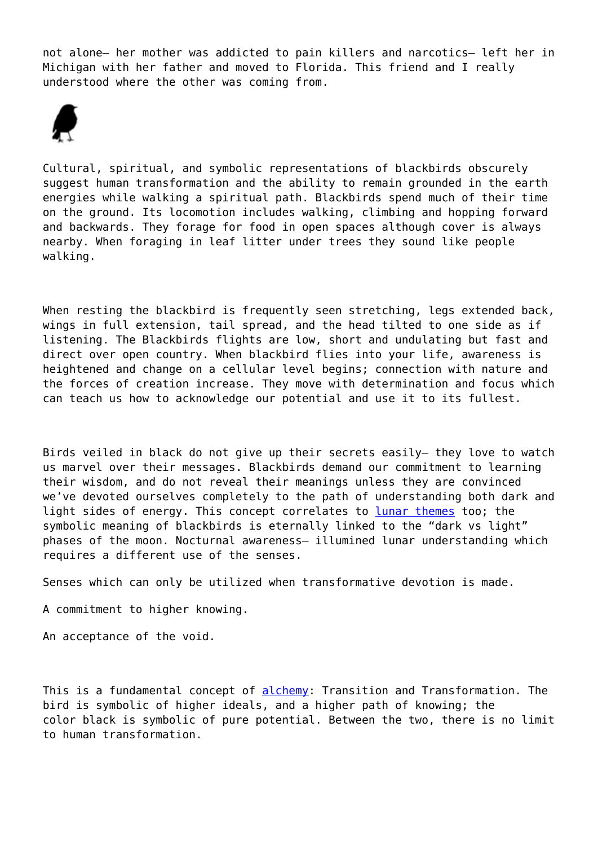not alone— her mother was addicted to pain killers and narcotics— left her in Michigan with her father and moved to Florida. This friend and I really understood where the other was coming from.



Cultural, spiritual, and symbolic representations of blackbirds obscurely suggest human transformation and the ability to remain grounded in the earth energies while walking a spiritual path. Blackbirds spend much of their time on the ground. Its locomotion includes walking, climbing and hopping forward and backwards. They forage for food in open spaces although cover is always nearby. When foraging in leaf litter under trees they sound like people walking.

When resting the blackbird is frequently seen stretching, legs extended back, wings in full extension, tail spread, and the head tilted to one side as if listening. The Blackbirds flights are low, short and undulating but fast and direct over open country. When blackbird flies into your life, awareness is heightened and change on a cellular level begins; connection with nature and the forces of creation increase. They move with determination and focus which can teach us how to acknowledge our potential and use it to its fullest.

Birds veiled in black do not give up their secrets easily— they love to watch us marvel over their messages. Blackbirds demand our commitment to learning their wisdom, and do not reveal their meanings unless they are convinced we've devoted ourselves completely to the path of understanding both dark and light sides of energy. This concept correlates to [lunar themes](http://www.whats-your-sign.com/symbolic-moon-facts.html) too; the symbolic meaning of blackbirds is eternally linked to the "dark vs light" phases of the moon. Nocturnal awareness— illumined lunar understanding which requires a different use of the senses.

Senses which can only be utilized when transformative devotion is made.

A commitment to higher knowing.

An acceptance of the void.

This is a fundamental concept of [alchemy](http://www.whats-your-sign.com/alchemy-symbols.html): Transition and Transformation. The bird is symbolic of higher ideals, and a higher path of knowing; the color black is symbolic of pure potential. Between the two, there is no limit to human transformation.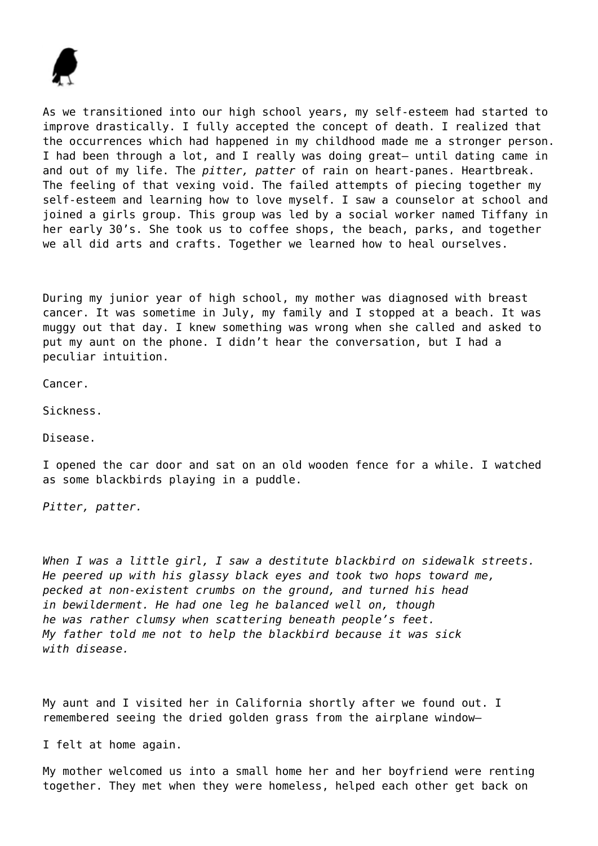

As we transitioned into our high school years, my self-esteem had started to improve drastically. I fully accepted the concept of death. I realized that the occurrences which had happened in my childhood made me a stronger person. I had been through a lot, and I really was doing great— until dating came in and out of my life. The *pitter, patter* of rain on heart-panes. Heartbreak. The feeling of that vexing void. The failed attempts of piecing together my self-esteem and learning how to love myself. I saw a counselor at school and joined a girls group. This group was led by a social worker named Tiffany in her early 30's. She took us to coffee shops, the beach, parks, and together we all did arts and crafts. Together we learned how to heal ourselves.

During my junior year of high school, my mother was diagnosed with breast cancer. It was sometime in July, my family and I stopped at a beach. It was muggy out that day. I knew something was wrong when she called and asked to put my aunt on the phone. I didn't hear the conversation, but I had a peculiar intuition.

Cancer.

Sickness.

Disease.

I opened the car door and sat on an old wooden fence for a while. I watched as some blackbirds playing in a puddle.

*Pitter, patter.*

*When I was a little girl, I saw a destitute blackbird on sidewalk streets. He peered up with his glassy black eyes and took two hops toward me, pecked at non-existent crumbs on the ground, and turned his head in bewilderment. He had one leg he balanced well on, though he was rather clumsy when scattering beneath people's feet. My father told me not to help the blackbird because it was sick with disease.*

My aunt and I visited her in California shortly after we found out. I remembered seeing the dried golden grass from the airplane window—

I felt at home again.

My mother welcomed us into a small home her and her boyfriend were renting together. They met when they were homeless, helped each other get back on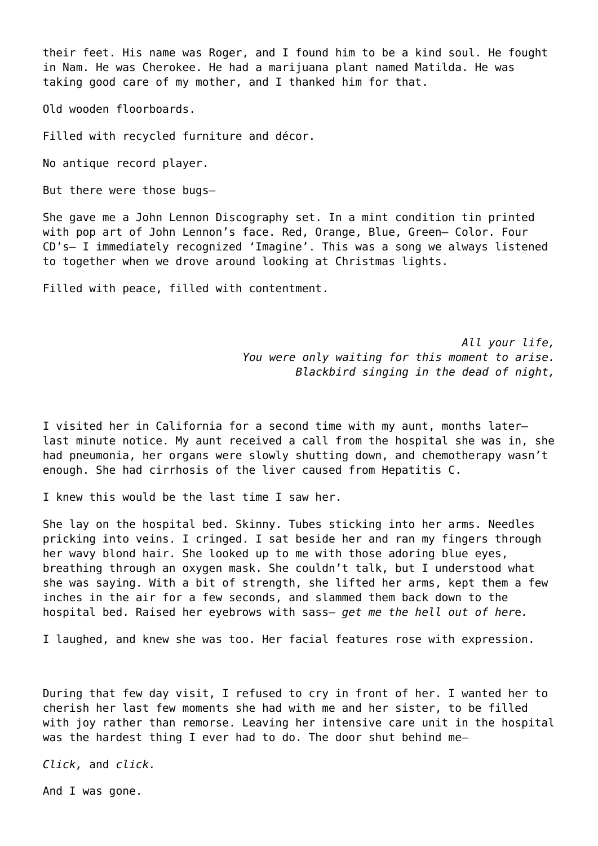their feet. His name was Roger, and I found him to be a kind soul. He fought in Nam. He was Cherokee. He had a marijuana plant named Matilda. He was taking good care of my mother, and I thanked him for that.

Old wooden floorboards.

Filled with recycled furniture and décor.

No antique record player.

But there were those bugs—

She gave me a John Lennon Discography set. In a mint condition tin printed with pop art of John Lennon's face. Red, Orange, Blue, Green— Color. Four CD's— I immediately recognized 'Imagine'. This was a song we always listened to together when we drove around looking at Christmas lights.

Filled with peace, filled with contentment.

*All your life, You were only waiting for this moment to arise. Blackbird singing in the dead of night,*

I visited her in California for a second time with my aunt, months later last minute notice. My aunt received a call from the hospital she was in, she had pneumonia, her organs were slowly shutting down, and chemotherapy wasn't enough. She had cirrhosis of the liver caused from Hepatitis C.

I knew this would be the last time I saw her.

She lay on the hospital bed. Skinny. Tubes sticking into her arms. Needles pricking into veins. I cringed. I sat beside her and ran my fingers through her wavy blond hair. She looked up to me with those adoring blue eyes, breathing through an oxygen mask. She couldn't talk, but I understood what she was saying. With a bit of strength, she lifted her arms, kept them a few inches in the air for a few seconds, and slammed them back down to the hospital bed. Raised her eyebrows with sass— *get me the hell out of her*e*.*

I laughed, and knew she was too. Her facial features rose with expression.

During that few day visit, I refused to cry in front of her. I wanted her to cherish her last few moments she had with me and her sister, to be filled with joy rather than remorse. Leaving her intensive care unit in the hospital was the hardest thing I ever had to do. The door shut behind me—

*Click,* and *click.*

And I was gone.